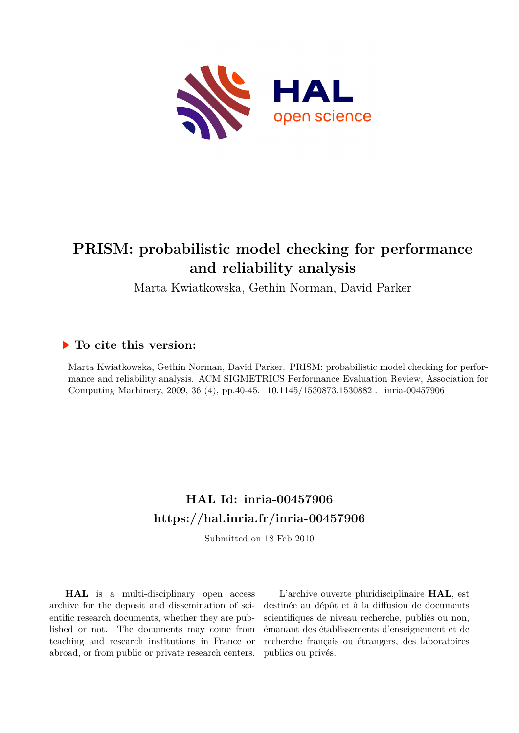

# **PRISM: probabilistic model checking for performance and reliability analysis**

Marta Kwiatkowska, Gethin Norman, David Parker

## **To cite this version:**

Marta Kwiatkowska, Gethin Norman, David Parker. PRISM: probabilistic model checking for performance and reliability analysis. ACM SIGMETRICS Performance Evaluation Review, Association for Computing Machinery, 2009, 36 (4), pp.40-45.  $10.1145/1530873.1530882$ . inria-00457906

# **HAL Id: inria-00457906 <https://hal.inria.fr/inria-00457906>**

Submitted on 18 Feb 2010

**HAL** is a multi-disciplinary open access archive for the deposit and dissemination of scientific research documents, whether they are published or not. The documents may come from teaching and research institutions in France or abroad, or from public or private research centers.

L'archive ouverte pluridisciplinaire **HAL**, est destinée au dépôt et à la diffusion de documents scientifiques de niveau recherche, publiés ou non, émanant des établissements d'enseignement et de recherche français ou étrangers, des laboratoires publics ou privés.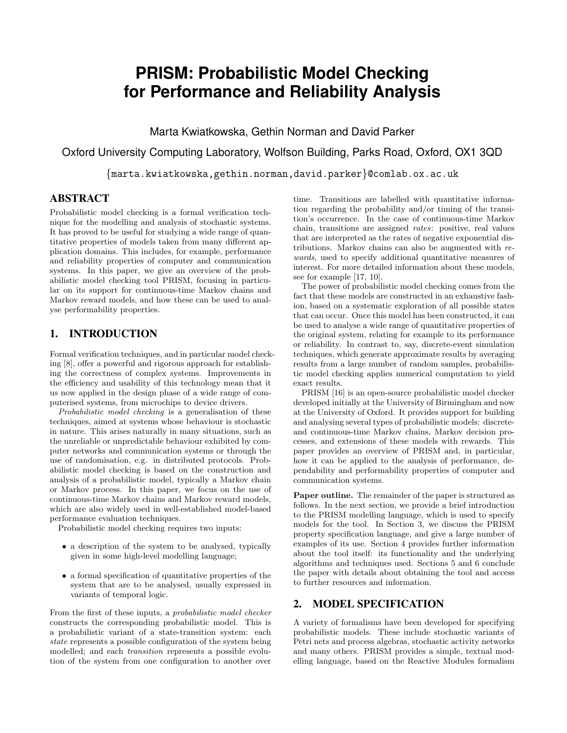# **PRISM: Probabilistic Model Checking for Performance and Reliability Analysis**

Marta Kwiatkowska, Gethin Norman and David Parker

Oxford University Computing Laboratory, Wolfson Building, Parks Road, Oxford, OX1 3QD

{marta.kwiatkowska,gethin.norman,david.parker}@comlab.ox.ac.uk

### ABSTRACT

Probabilistic model checking is a formal verification technique for the modelling and analysis of stochastic systems. It has proved to be useful for studying a wide range of quantitative properties of models taken from many different application domains. This includes, for example, performance and reliability properties of computer and communication systems. In this paper, we give an overview of the probabilistic model checking tool PRISM, focusing in particular on its support for continuous-time Markov chains and Markov reward models, and how these can be used to analyse performability properties.

#### 1. INTRODUCTION

Formal verification techniques, and in particular model checking [8], offer a powerful and rigorous approach for establishing the correctness of complex systems. Improvements in the efficiency and usability of this technology mean that it us now applied in the design phase of a wide range of computerised systems, from microchips to device drivers.

Probabilistic model checking is a generalisation of these techniques, aimed at systems whose behaviour is stochastic in nature. This arises naturally in many situations, such as the unreliable or unpredictable behaviour exhibited by computer networks and communication systems or through the use of randomisation, e.g. in distributed protocols. Probabilistic model checking is based on the construction and analysis of a probabilistic model, typically a Markov chain or Markov process. In this paper, we focus on the use of continuous-time Markov chains and Markov reward models, which are also widely used in well-established model-based performance evaluation techniques.

Probabilistic model checking requires two inputs:

- a description of the system to be analysed, typically given in some high-level modelling language;
- a formal specification of quantitative properties of the system that are to be analysed, usually expressed in variants of temporal logic.

From the first of these inputs, a probabilistic model checker constructs the corresponding probabilistic model. This is a probabilistic variant of a state-transition system: each state represents a possible configuration of the system being modelled; and each transition represents a possible evolution of the system from one configuration to another over

time. Transitions are labelled with quantitative information regarding the probability and/or timing of the transition's occurrence. In the case of continuous-time Markov chain, transitions are assigned rates: positive, real values that are interpreted as the rates of negative exponential distributions. Markov chains can also be augmented with rewards, used to specify additional quantitative measures of interest. For more detailed information about these models, see for example [17, 10].

The power of probabilistic model checking comes from the fact that these models are constructed in an exhaustive fashion, based on a systematic exploration of all possible states that can occur. Once this model has been constructed, it can be used to analyse a wide range of quantitative properties of the original system, relating for example to its performance or reliability. In contrast to, say, discrete-event simulation techniques, which generate approximate results by averaging results from a large number of random samples, probabilistic model checking applies numerical computation to yield exact results.

PRISM [16] is an open-source probabilistic model checker developed initially at the University of Birmingham and now at the University of Oxford. It provides support for building and analysing several types of probabilistic models: discreteand continuous-time Markov chains, Markov decision processes, and extensions of these models with rewards. This paper provides an overview of PRISM and, in particular, how it can be applied to the analysis of performance, dependability and performability properties of computer and communication systems.

Paper outline. The remainder of the paper is structured as follows. In the next section, we provide a brief introduction to the PRISM modelling language, which is used to specify models for the tool. In Section 3, we discuss the PRISM property specification language, and give a large number of examples of its use. Section 4 provides further information about the tool itself: its functionality and the underlying algorithms and techniques used. Sections 5 and 6 conclude the paper with details about obtaining the tool and access to further resources and information.

### 2. MODEL SPECIFICATION

A variety of formalisms have been developed for specifying probabilistic models. These include stochastic variants of Petri nets and process algebras, stochastic activity networks and many others. PRISM provides a simple, textual modelling language, based on the Reactive Modules formalism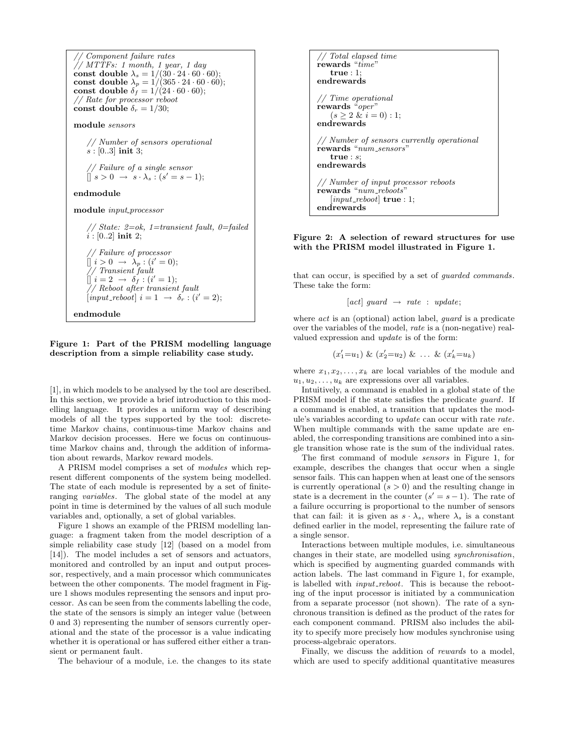// Component failure rates  $\sqrt{MTTFs}$ : 1 month, 1 year, 1 day const double  $\lambda_s = 1/(30 \cdot 24 \cdot 60 \cdot 60);$ const double  $\lambda_p = 1/(365 \cdot 24 \cdot 60 \cdot 60);$ const double  $\delta_f = 1/(24 \cdot 60 \cdot 60);$ // Rate for processor reboot const double  $\delta_r = 1/30$ ; module sensors // Number of sensors operational s : [0..3] init 3; // Failure of a single sensor  $\left[\right] s > 0 \rightarrow s \cdot \lambda_s : (s' = s - 1);$ endmodule module input processor  $// State: 2=ok, 1=transient fault, 0=failed$  $i : [0..2]$  init 2; // Failure of processor  $\left[\right] i > 0 \rightarrow \lambda_p : (i' = 0);$ // Transient fault  $\left[\right] i=2 \rightarrow \delta_f : (i'=1);$ // Reboot after transient fault  $\left[ \text{input\_reboot} \right] i = 1 \rightarrow \delta_r : (i' = 2);$ endmodule

#### Figure 1: Part of the PRISM modelling language description from a simple reliability case study.

[1], in which models to be analysed by the tool are described. In this section, we provide a brief introduction to this modelling language. It provides a uniform way of describing models of all the types supported by the tool: discretetime Markov chains, continuous-time Markov chains and Markov decision processes. Here we focus on continuoustime Markov chains and, through the addition of information about rewards, Markov reward models.

A PRISM model comprises a set of modules which represent different components of the system being modelled. The state of each module is represented by a set of finiteranging variables. The global state of the model at any point in time is determined by the values of all such module variables and, optionally, a set of global variables.

Figure 1 shows an example of the PRISM modelling language: a fragment taken from the model description of a simple reliability case study [12] (based on a model from [14]). The model includes a set of sensors and actuators, monitored and controlled by an input and output processor, respectively, and a main processor which communicates between the other components. The model fragment in Figure 1 shows modules representing the sensors and input processor. As can be seen from the comments labelling the code, the state of the sensors is simply an integer value (between 0 and 3) representing the number of sensors currently operational and the state of the processor is a value indicating whether it is operational or has suffered either either a transient or permanent fault.

The behaviour of a module, i.e. the changes to its state

```
// Total elapsed time
rewards "time"true : 1;
endrewards
// Time operational
rewards "oper"
   (s \geq 2 \& i = 0) : 1;endrewards
// Number of sensors currently operational
rewards "num sensors"
   true : s;
endrewards
// Number of input processor reboots
rewards "num_reboots"
   [input\_reboot] true : 1;
endrewards
```
Figure 2: A selection of reward structures for use with the PRISM model illustrated in Figure 1.

that can occur, is specified by a set of guarded commands. These take the form:

 $[act]$  guard  $\rightarrow$  rate : update;

where *act* is an (optional) action label, *guard* is a predicate over the variables of the model, rate is a (non-negative) realvalued expression and update is of the form:

 $(x'_1=u_1) \& (x'_2=u_2) \& \dots \& (x'_k=u_k)$ 

where  $x_1, x_2, \ldots, x_k$  are local variables of the module and  $u_1, u_2, \ldots, u_k$  are expressions over all variables.

Intuitively, a command is enabled in a global state of the PRISM model if the state satisfies the predicate guard. If a command is enabled, a transition that updates the module's variables according to update can occur with rate rate. When multiple commands with the same update are enabled, the corresponding transitions are combined into a single transition whose rate is the sum of the individual rates.

The first command of module sensors in Figure 1, for example, describes the changes that occur when a single sensor fails. This can happen when at least one of the sensors is currently operational  $(s > 0)$  and the resulting change in state is a decrement in the counter  $(s' = s - 1)$ . The rate of a failure occurring is proportional to the number of sensors that can fail: it is given as  $s \cdot \lambda_s$ , where  $\lambda_s$  is a constant defined earlier in the model, representing the failure rate of a single sensor.

Interactions between multiple modules, i.e. simultaneous changes in their state, are modelled using synchronisation, which is specified by augmenting guarded commands with action labels. The last command in Figure 1, for example, is labelled with input reboot. This is because the rebooting of the input processor is initiated by a communication from a separate processor (not shown). The rate of a synchronous transition is defined as the product of the rates for each component command. PRISM also includes the ability to specify more precisely how modules synchronise using process-algebraic operators.

Finally, we discuss the addition of rewards to a model, which are used to specify additional quantitative measures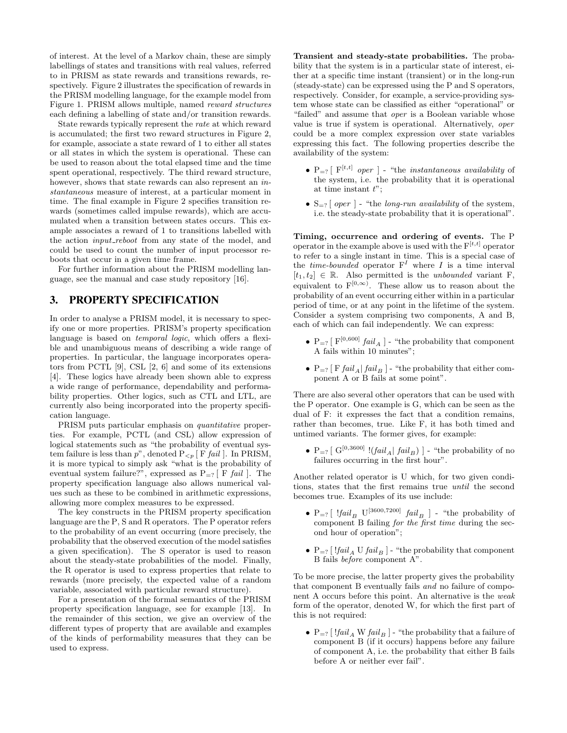of interest. At the level of a Markov chain, these are simply labellings of states and transitions with real values, referred to in PRISM as state rewards and transitions rewards, respectively. Figure 2 illustrates the specification of rewards in the PRISM modelling language, for the example model from Figure 1. PRISM allows multiple, named reward structures each defining a labelling of state and/or transition rewards.

State rewards typically represent the rate at which reward is accumulated; the first two reward structures in Figure 2, for example, associate a state reward of 1 to either all states or all states in which the system is operational. These can be used to reason about the total elapsed time and the time spent operational, respectively. The third reward structure, however, shows that state rewards can also represent an instantaneous measure of interest, at a particular moment in time. The final example in Figure 2 specifies transition rewards (sometimes called impulse rewards), which are accumulated when a transition between states occurs. This example associates a reward of 1 to transitions labelled with the action *input\_reboot* from any state of the model, and could be used to count the number of input processor reboots that occur in a given time frame.

For further information about the PRISM modelling language, see the manual and case study repository [16].

### 3. PROPERTY SPECIFICATION

In order to analyse a PRISM model, it is necessary to specify one or more properties. PRISM's property specification language is based on temporal logic, which offers a flexible and unambiguous means of describing a wide range of properties. In particular, the language incorporates operators from PCTL [9], CSL [2, 6] and some of its extensions [4]. These logics have already been shown able to express a wide range of performance, dependability and performability properties. Other logics, such as CTL and LTL, are currently also being incorporated into the property specification language.

PRISM puts particular emphasis on quantitative properties. For example, PCTL (and CSL) allow expression of logical statements such as "the probability of eventual system failure is less than  $p^{\prime\prime}$ , denoted  $P_{\leq p}$  [ F fail ]. In PRISM, it is more typical to simply ask "what is the probability of eventual system failure?", expressed as  $P_{=?}$  [ F *fail* ]. The property specification language also allows numerical values such as these to be combined in arithmetic expressions, allowing more complex measures to be expressed.

The key constructs in the PRISM property specification language are the P, S and R operators. The P operator refers to the probability of an event occurring (more precisely, the probability that the observed execution of the model satisfies a given specification). The S operator is used to reason about the steady-state probabilities of the model. Finally, the R operator is used to express properties that relate to rewards (more precisely, the expected value of a random variable, associated with particular reward structure).

For a presentation of the formal semantics of the PRISM property specification language, see for example [13]. In the remainder of this section, we give an overview of the different types of property that are available and examples of the kinds of performability measures that they can be used to express.

Transient and steady-state probabilities. The probability that the system is in a particular state of interest, either at a specific time instant (transient) or in the long-run (steady-state) can be expressed using the P and S operators, respectively. Consider, for example, a service-providing system whose state can be classified as either "operational" or "failed" and assume that oper is a Boolean variable whose value is true if system is operational. Alternatively, oper could be a more complex expression over state variables expressing this fact. The following properties describe the availability of the system:

- $P_{r}$   $\in$   $F^{[t,t]}$  *oper* ] "the *instantaneous availability* of the system, i.e. the probability that it is operational at time instant  $t$ ";
- $S_{r-2}$  [ *oper* ] "the *long-run availability* of the system, i.e. the steady-state probability that it is operational".

Timing, occurrence and ordering of events. The P operator in the example above is used with the  $F<sup>[t,t]</sup>$  operator to refer to a single instant in time. This is a special case of the *time-bounded* operator  $F<sup>I</sup>$  where I is a time interval  $[t_1, t_2] \in \mathbb{R}$ . Also permitted is the unbounded variant F, equivalent to  $F^{[0,\infty)}$ . These allow us to reason about the probability of an event occurring either within in a particular period of time, or at any point in the lifetime of the system. Consider a system comprising two components, A and B, each of which can fail independently. We can express:

- $P_{=?}$  [ $F^{[0,600]}$   $fail_A$ ] "the probability that component A fails within 10 minutes";
- $P_{=?}$  [F fail<sub>A</sub>| fail<sub>B</sub>] "the probability that either component A or B fails at some point".

There are also several other operators that can be used with the P operator. One example is G, which can be seen as the dual of F: it expresses the fact that a condition remains, rather than becomes, true. Like F, it has both timed and untimed variants. The former gives, for example:

•  $P_{=?}$  [  $G^{[0,3600]}$  !(*fail<sub>A</sub>*| *fail<sub>B</sub>*) ] - "the probability of no failures occurring in the first hour".

Another related operator is U which, for two given conditions, states that the first remains true until the second becomes true. Examples of its use include:

- $P_{=?}$  [  $!fail_B$  U<sup>[3600,7200]</sup>  $fail_B$  ] "the probability of component B failing for the first time during the second hour of operation";
- $P_{=?}$  [*!fail<sub>A</sub>* U *fail<sub>B</sub>*] "the probability that component B fails before component A".

To be more precise, the latter property gives the probability that component B eventually fails and no failure of component A occurs before this point. An alternative is the weak form of the operator, denoted W, for which the first part of this is not required:

•  $P_{=?}$  [*!fail<sub>A</sub>* W *fail*<sub>B</sub> ] - "the probability that a failure of component B (if it occurs) happens before any failure of component A, i.e. the probability that either B fails before A or neither ever fail".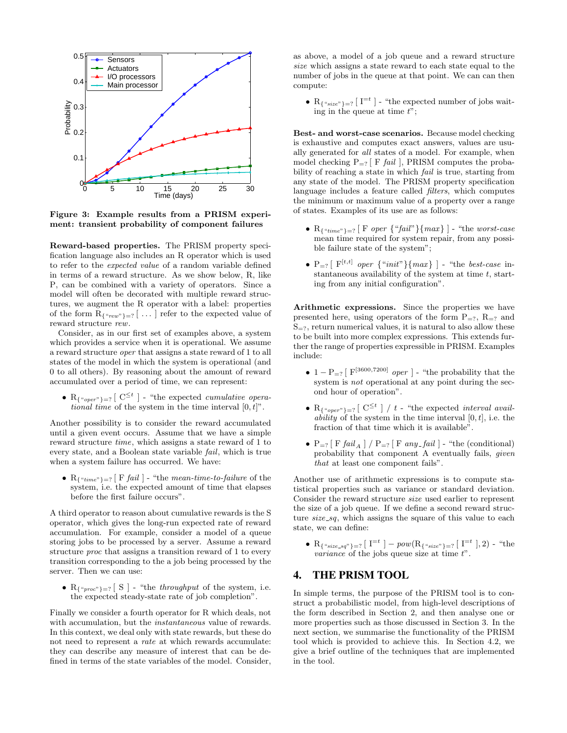

Figure 3: Example results from a PRISM experiment: transient probability of component failures

Reward-based properties. The PRISM property specification language also includes an R operator which is used to refer to the expected value of a random variable defined in terms of a reward structure. As we show below, R, like P, can be combined with a variety of operators. Since a model will often be decorated with multiple reward structures, we augment the R operator with a label: properties of the form  $R_{\{\text{``rew''}\}=?$  [...] refer to the expected value of reward structure rew.

Consider, as in our first set of examples above, a system which provides a service when it is operational. We assume a reward structure oper that assigns a state reward of 1 to all states of the model in which the system is operational (and 0 to all others). By reasoning about the amount of reward accumulated over a period of time, we can represent:

•  $R_{\{\text{``oper''}\}=?}$  [  $C^{\leq t}$  ] - "the expected *cumulative opera*tional time of the system in the time interval  $[0, t]$ ".

Another possibility is to consider the reward accumulated until a given event occurs. Assume that we have a simple reward structure time, which assigns a state reward of 1 to every state, and a Boolean state variable fail, which is true when a system failure has occurred. We have:

•  $R_{\{\text{``time''}\}=?}$  [ F fail ] - "the mean-time-to-failure of the system, i.e. the expected amount of time that elapses before the first failure occurs".

A third operator to reason about cumulative rewards is the S operator, which gives the long-run expected rate of reward accumulation. For example, consider a model of a queue storing jobs to be processed by a server. Assume a reward structure proc that assigns a transition reward of 1 to every transition corresponding to the a job being processed by the server. Then we can use:

•  $R_{\{\text{``proc''}\}=?}$  [S] - "the *throughput* of the system, i.e. the expected steady-state rate of job completion".

Finally we consider a fourth operator for R which deals, not with accumulation, but the *instantaneous* value of rewards. In this context, we deal only with state rewards, but these do not need to represent a rate at which rewards accumulate: they can describe any measure of interest that can be defined in terms of the state variables of the model. Consider, as above, a model of a job queue and a reward structure size which assigns a state reward to each state equal to the number of jobs in the queue at that point. We can can then compute:

•  $R_{\{\text{``size''}\}=?$  [I<sup>=t</sup>] - "the expected number of jobs waiting in the queue at time  $t$ ";

Best- and worst-case scenarios. Because model checking is exhaustive and computes exact answers, values are usually generated for all states of a model. For example, when model checking  $P_{r}$  [ F *fail* ], PRISM computes the probability of reaching a state in which fail is true, starting from any state of the model. The PRISM property specification language includes a feature called filters, which computes the minimum or maximum value of a property over a range of states. Examples of its use are as follows:

- $R_{\{\text{``time''}\}=?}$  [ F oper  $\{\text{``fail''}\}\{max\}$  ] "the worst-case mean time required for system repair, from any possible failure state of the system";
- $P_{=?}$  [  $F^{[t,t]}$  *oper* {"*init*"}{*max*} ] "the *best-case* instantaneous availability of the system at time  $t$ , starting from any initial configuration".

Arithmetic expressions. Since the properties we have presented here, using operators of the form  $P_{=?}$ ,  $R_{=?}$  and  $S_{-2}$ , return numerical values, it is natural to also allow these to be built into more complex expressions. This extends further the range of properties expressible in PRISM. Examples include:

- $1 P_{-?}$  [  $F^{[3600,7200]}$  *oper* ] "the probability that the system is not operational at any point during the second hour of operation".
- $R_{\{\text{``oper''}\}=?}$  [  $C^{\leq t}$  ] / t "the expected *interval availability* of the system in the time interval  $[0, t]$ , i.e. the fraction of that time which it is available".
- $P_{=?}$  [ F fail<sub>A</sub> ] /  $P_{=?}$  [ F any fail ] "the (conditional) probability that component A eventually fails, given that at least one component fails".

Another use of arithmetic expressions is to compute statistical properties such as variance or standard deviation. Consider the reward structure size used earlier to represent the size of a job queue. If we define a second reward structure *size\_sq*, which assigns the square of this value to each state, we can define:

•  $R_{\{\text{``size\_sq"}\}=?}$  [  $I^{=t}$  ] –  $pow(R_{\{\text{``size"}\}=?}$  [  $I^{=t}$  ], 2) - "the *variance* of the jobs queue size at time  $t$ ".

#### 4. THE PRISM TOOL

In simple terms, the purpose of the PRISM tool is to construct a probabilistic model, from high-level descriptions of the form described in Section 2, and then analyse one or more properties such as those discussed in Section 3. In the next section, we summarise the functionality of the PRISM tool which is provided to achieve this. In Section 4.2, we give a brief outline of the techniques that are implemented in the tool.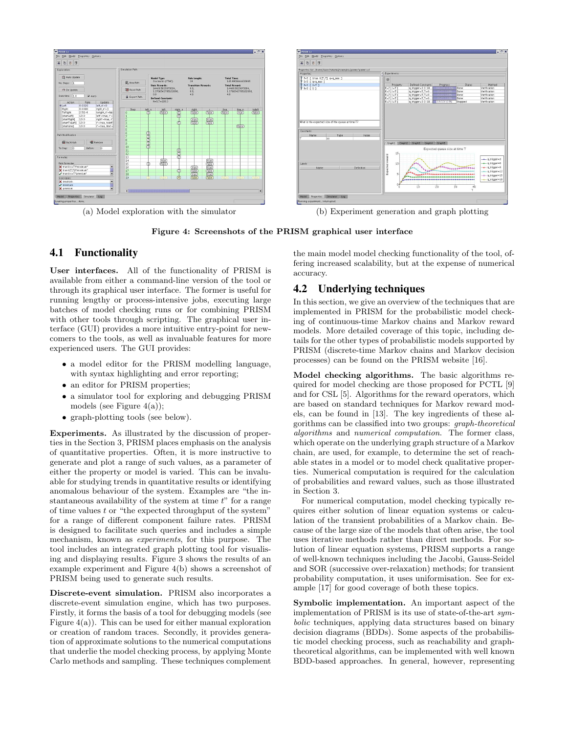



(a) Model exploration with the simulator (b) Experiment generation and graph plotting



#### 4.1 Functionality

User interfaces. All of the functionality of PRISM is available from either a command-line version of the tool or through its graphical user interface. The former is useful for running lengthy or process-intensive jobs, executing large batches of model checking runs or for combining PRISM with other tools through scripting. The graphical user interface (GUI) provides a more intuitive entry-point for newcomers to the tools, as well as invaluable features for more experienced users. The GUI provides:

- a model editor for the PRISM modelling language, with syntax highlighting and error reporting;
- an editor for PRISM properties;
- a simulator tool for exploring and debugging PRISM models (see Figure  $4(a)$ );
- graph-plotting tools (see below).

Experiments. As illustrated by the discussion of properties in the Section 3, PRISM places emphasis on the analysis of quantitative properties. Often, it is more instructive to generate and plot a range of such values, as a parameter of either the property or model is varied. This can be invaluable for studying trends in quantitative results or identifying anomalous behaviour of the system. Examples are "the instantaneous availability of the system at time  $t^{\prime\prime}$  for a range of time values  $t$  or "the expected throughput of the system" for a range of different component failure rates. PRISM is designed to facilitate such queries and includes a simple mechanism, known as experiments, for this purpose. The tool includes an integrated graph plotting tool for visualising and displaying results. Figure 3 shows the results of an example experiment and Figure 4(b) shows a screenshot of PRISM being used to generate such results.

Discrete-event simulation. PRISM also incorporates a discrete-event simulation engine, which has two purposes. Firstly, it forms the basis of a tool for debugging models (see Figure  $4(a)$ ). This can be used for either manual exploration or creation of random traces. Secondly, it provides generation of approximate solutions to the numerical computations that underlie the model checking process, by applying Monte Carlo methods and sampling. These techniques complement

the main model model checking functionality of the tool, offering increased scalability, but at the expense of numerical accuracy.

### 4.2 Underlying techniques

In this section, we give an overview of the techniques that are implemented in PRISM for the probabilistic model checking of continuous-time Markov chains and Markov reward models. More detailed coverage of this topic, including details for the other types of probabilistic models supported by PRISM (discrete-time Markov chains and Markov decision processes) can be found on the PRISM website [16].

Model checking algorithms. The basic algorithms required for model checking are those proposed for PCTL [9] and for CSL [5]. Algorithms for the reward operators, which are based on standard techniques for Markov reward models, can be found in [13]. The key ingredients of these algorithms can be classified into two groups: graph-theoretical algorithms and numerical computation. The former class, which operate on the underlying graph structure of a Markov chain, are used, for example, to determine the set of reachable states in a model or to model check qualitative properties. Numerical computation is required for the calculation of probabilities and reward values, such as those illustrated in Section 3.

For numerical computation, model checking typically requires either solution of linear equation systems or calculation of the transient probabilities of a Markov chain. Because of the large size of the models that often arise, the tool uses iterative methods rather than direct methods. For solution of linear equation systems, PRISM supports a range of well-known techniques including the Jacobi, Gauss-Seidel and SOR (successive over-relaxation) methods; for transient probability computation, it uses uniformisation. See for example [17] for good coverage of both these topics.

Symbolic implementation. An important aspect of the implementation of PRISM is its use of state-of-the-art symbolic techniques, applying data structures based on binary decision diagrams (BDDs). Some aspects of the probabilistic model checking process, such as reachability and graphtheoretical algorithms, can be implemented with well known BDD-based approaches. In general, however, representing